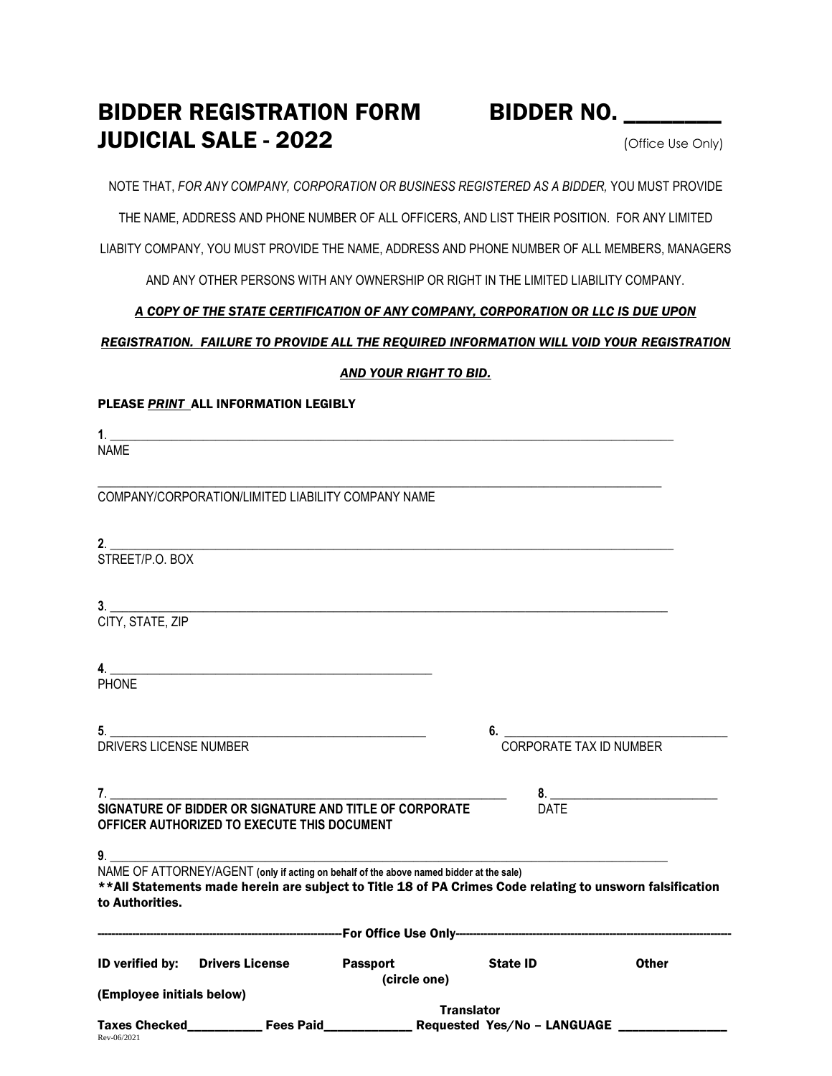# BIDDER REGISTRATION FORM BIDDER NO. \_\_\_\_\_\_\_ **JUDICIAL SALE - 2022**  $(Office Use Only)$

NOTE THAT, *FOR ANY COMPANY, CORPORATION OR BUSINESS REGISTERED AS A BIDDER,* YOU MUST PROVIDE

THE NAME, ADDRESS AND PHONE NUMBER OF ALL OFFICERS, AND LIST THEIR POSITION. FOR ANY LIMITED

LIABITY COMPANY, YOU MUST PROVIDE THE NAME, ADDRESS AND PHONE NUMBER OF ALL MEMBERS, MANAGERS

AND ANY OTHER PERSONS WITH ANY OWNERSHIP OR RIGHT IN THE LIMITED LIABILITY COMPANY.

### *A COPY OF THE STATE CERTIFICATION OF ANY COMPANY, CORPORATION OR LLC IS DUE UPON*

### *REGISTRATION. FAILURE TO PROVIDE ALL THE REQUIRED INFORMATION WILL VOID YOUR REGISTRATION*

*AND YOUR RIGHT TO BID.* 

|                                                                                                                | PLEASE PRINT ALL INFORMATION LEGIBLY                                                                                                                                                                 |                   |                                                                                                  |              |  |
|----------------------------------------------------------------------------------------------------------------|------------------------------------------------------------------------------------------------------------------------------------------------------------------------------------------------------|-------------------|--------------------------------------------------------------------------------------------------|--------------|--|
| NAME                                                                                                           |                                                                                                                                                                                                      |                   |                                                                                                  |              |  |
|                                                                                                                | COMPANY/CORPORATION/LIMITED LIABILITY COMPANY NAME                                                                                                                                                   |                   |                                                                                                  |              |  |
| STREET/P.O. BOX                                                                                                |                                                                                                                                                                                                      |                   |                                                                                                  |              |  |
| CITY, STATE, ZIP                                                                                               | 3.                                                                                                                                                                                                   |                   |                                                                                                  |              |  |
| <b>PHONE</b>                                                                                                   | $\overline{a}$ .                                                                                                                                                                                     |                   |                                                                                                  |              |  |
| 5.<br>DRIVERS LICENSE NUMBER                                                                                   |                                                                                                                                                                                                      |                   | 6.<br>CORPORATE TAX ID NUMBER                                                                    |              |  |
| 7.                                                                                                             |                                                                                                                                                                                                      |                   |                                                                                                  |              |  |
| SIGNATURE OF BIDDER OR SIGNATURE AND TITLE OF CORPORATE<br>DATE<br>OFFICER AUTHORIZED TO EXECUTE THIS DOCUMENT |                                                                                                                                                                                                      |                   |                                                                                                  |              |  |
| to Authorities.                                                                                                | NAME OF ATTORNEY/AGENT (only if acting on behalf of the above named bidder at the sale)<br>** All Statements made herein are subject to Title 18 of PA Crimes Code relating to unsworn falsification |                   |                                                                                                  |              |  |
|                                                                                                                |                                                                                                                                                                                                      |                   |                                                                                                  |              |  |
|                                                                                                                | ID verified by: Drivers License Passport                                                                                                                                                             | (circle one)      | <b>State ID</b>                                                                                  | <b>Other</b> |  |
| (Employee initials below)                                                                                      |                                                                                                                                                                                                      | <b>Translator</b> |                                                                                                  |              |  |
| Rev-06/2021                                                                                                    |                                                                                                                                                                                                      |                   | Taxes Checked______________ Fees Paid_____________________ Requested Yes/No - LANGUAGE _________ |              |  |